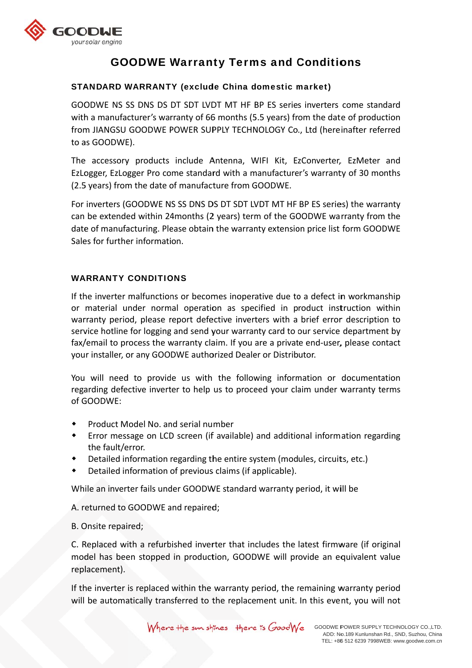

# **GOODWE Warranty Terms and Conditions**

## **STANDARD WARRANTY (exclude China domestic market)**

GOODWE NS SS DNS DS DT SDT LVDT MT HF BP ES series inverters come standard with a manufacturer's warranty of 66 months (5.5 years) from the date of production from JIANGSU GOODWE POWER SUPPLY TECHNOLOGY Co., Ltd (hereinafter referred to as GOODWE).

The accessory products include Antenna, WIFI Kit, EzConverter, EzMeter and EzLogger, EzLogger Pro come standard with a manufacturer's warranty of 30 months (2.5 years) from the date of manufacture from GOODWE.

For inverters (GOODWE NS SS DNS DS DT SDT LVDT MT HF BP ES series) the warranty can be extended within 24months (2 years) term of the GOODWE warranty from the date of manufacturing. Please obtain the warranty extension price list form GOODWE Sales for further information.

### **WARRANTY CONDITIONS**

If the inverter malfunctions or becomes inoperative due to a defect in workmanship or material under normal operation as specified in product instruction within warranty period, please report defective inverters with a brief error description to service hotline for logging and send your warranty card to our service department by fax/email to process the warranty claim. If you are a private end-user, please contact your installer, or any GOODWE authorized Dealer or Distributor.

You will need to provide us with the following information or documentation regarding defective inverter to help us to proceed your claim under warranty terms of GOODWE:

- Product Model No. and serial number  $\bullet$
- Error message on LCD screen (if available) and additional information regarding  $\bullet$ the fault/error.
- Detailed information regarding the entire system (modules, circuits, etc.)
- Detailed information of previous claims (if applicable).

While an inverter fails under GOODWE standard warranty period, it will be

A. returned to GOODWE and repaired;

B. Onsite repaired;

C. Replaced with a refurbished inverter that includes the latest firmware (if original model has been stopped in production, GOODWE will provide an equivalent value replacement).

If the inverter is replaced within the warranty period, the remaining warranty period will be automatically transferred to the replacement unit. In this event, you will not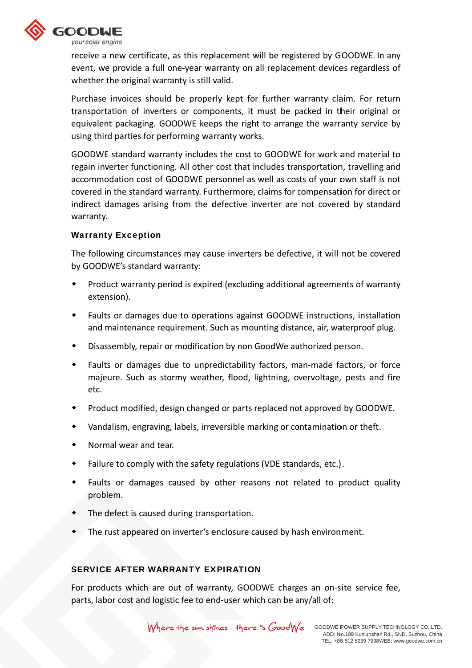

receive a new certificate, as this replacement will be registered by GOODWE. In any event, we provide a full one-year warranty on all replacement devices regardless of whether the original warranty is still valid.

Purchase invoices should be properly kept for further warranty claim. For return transportation of inverters or components, it must be packed in their original or equivalent packaging. GOODWE keeps the right to arrange the warranty service by using third parties for performing warranty works.

GOODWE standard warranty includes the cost to GOODWE for work and material to regain inverter functioning. All other cost that includes transportation, travelling and accommodation cost of GOODWE personnel as well as costs of your own staff is not covered in the standard warranty. Furthermore, claims for compensation for direct or indirect damages arising from the defective inverter are not covered by standard warranty.

### **Warranty Exception**

The following circumstances may cause inverters be defective, it will not be covered by GOODWE's standard warranty:

- Product warranty period is expired (excluding additional agreements of warranty extension).
- Faults or damages due to operations against GOODWE instructions, installation  $\bullet$ and maintenance requirement. Such as mounting distance, air, waterproof plug.
- Disassembly, repair or modification by non GoodWe authorized person.
- $\bullet$ Faults or damages due to unpredictability factors, man-made factors, or force majeure. Such as stormy weather, flood, lightning, overvoltage, pests and fire etc.
- Product modified, design changed or parts replaced not approved by GOODWE.
- Vandalism, engraving, labels, irreversible marking or contamination or theft.
- Normal wear and tear.
- $\blacklozenge$ Failure to comply with the safety regulations (VDE standards, etc.).
- Faults or damages caused by other reasons not related to product quality  $\bullet$ problem.
- The defect is caused during transportation.
- The rust appeared on inverter's enclosure caused by hash environment.

### **SERVICE AFTER WARRANTY EXPIRATION**

For products which are out of warranty, GOODWE charges an on-site service fee, parts, labor cost and logistic fee to end-user which can be any/all of: